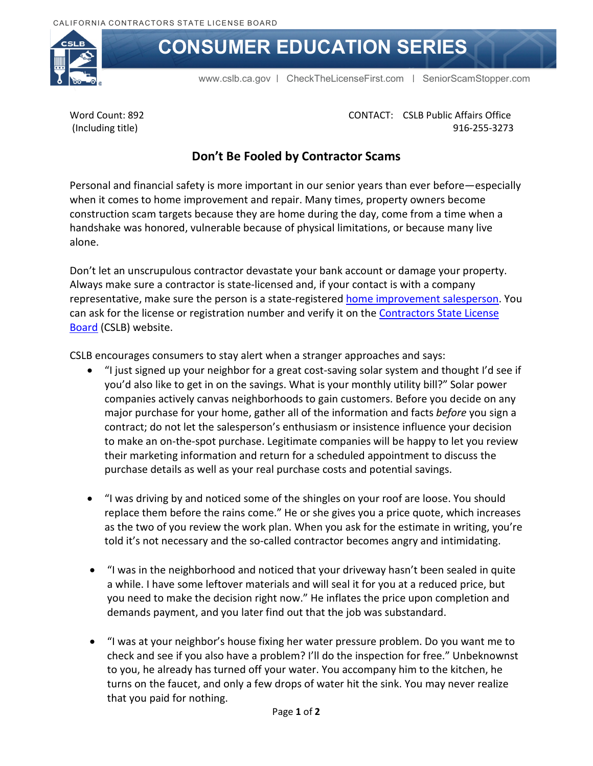

## **CONSUMER EDUCATION SERIES**

[www.cslb.ca.gov](http://www.cslb.ca.gov/) | [CheckTheLicenseFirst.com](http://www.CheckTheLicenseFirst.com) | [SeniorScamStopper.com](http://www.SeniorScamStopper.com) 

Word Count: 892 (Including title)

CONTACT: CSLB Public Affairs Office 916-255-3273

## **Don't Be Fooled by Contractor Scams**

Personal and financial safety is more important in our senior years than ever before—especially when it comes to home improvement and repair. Many times, property owners become construction scam targets because they are home during the day, come from a time when a handshake was honored, vulnerable because of physical limitations, or because many live alone.

Don't let an unscrupulous contractor devastate your bank account or damage your property. Always make sure a contractor is state-licensed and, if your contact is with a company representative, make sure the person is a state-registered [home improvement salesperson.](http://www.cslb.ca.gov/Contractors/Applicants/Home_Improvement_Registration/Before_Applying_For_HIS.aspx) You can ask for the license or registration number and verify it on the Contractors State License **[Board](http://www.cslb.ca.gov/About_Us/Library/Licensing_Classifications/C-53_-_Swimming_Pool.aspx)** (CSLB) website.

CSLB encourages consumers to stay alert when a stranger approaches and says:

- "I just signed up your neighbor for a great cost-saving solar system and thought I'd see if you'd also like to get in on the savings. What is your monthly utility bill?" Solar power companies actively canvas neighborhoods to gain customers. Before you decide on any major purchase for your home, gather all of the information and facts *before* you sign a contract; do not let the salesperson's enthusiasm or insistence influence your decision to make an on-the-spot purchase. Legitimate companies will be happy to let you review their marketing information and return for a scheduled appointment to discuss the purchase details as well as your real purchase costs and potential savings.
- "I was driving by and noticed some of the shingles on your roof are loose. You should replace them before the rains come." He or she gives you a price quote, which increases as the two of you review the work plan. When you ask for the estimate in writing, you're told it's not necessary and the so-called contractor becomes angry and intimidating.
- "I was in the neighborhood and noticed that your driveway hasn't been sealed in quite a while. I have some leftover materials and will seal it for you at a reduced price, but you need to make the decision right now." He inflates the price upon completion and demands payment, and you later find out that the job was substandard.
- "I was at your neighbor's house fixing her water pressure problem. Do you want me to check and see if you also have a problem? I'll do the inspection for free." Unbeknownst to you, he already has turned off your water. You accompany him to the kitchen, he turns on the faucet, and only a few drops of water hit the sink. You may never realize that you paid for nothing.